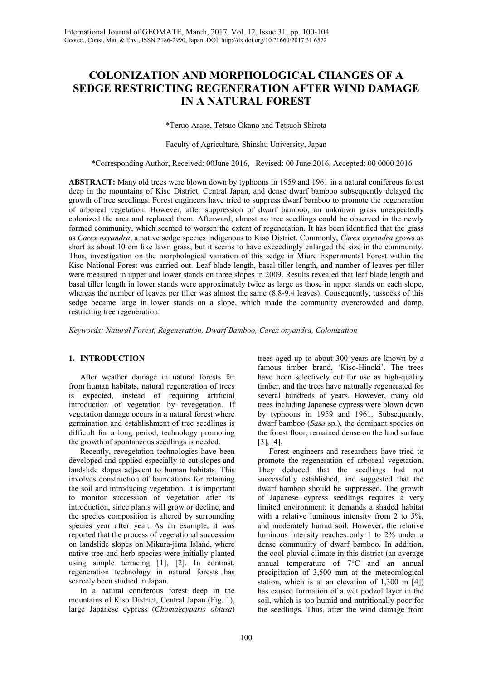# **COLONIZATION AND MORPHOLOGICAL CHANGES OF A SEDGE RESTRICTING REGENERATION AFTER WIND DAMAGE IN A NATURAL FOREST**

\*Teruo Arase, Tetsuo Okano and Tetsuoh Shirota

Faculty of Agriculture, Shinshu University, Japan

\*Corresponding Author, Received: 00June 2016, Revised: 00 June 2016, Accepted: 00 0000 2016

**ABSTRACT:** Many old trees were blown down by typhoons in 1959 and 1961 in a natural coniferous forest deep in the mountains of Kiso District, Central Japan, and dense dwarf bamboo subsequently delayed the growth of tree seedlings. Forest engineers have tried to suppress dwarf bamboo to promote the regeneration of arboreal vegetation. However, after suppression of dwarf bamboo, an unknown grass unexpectedly colonized the area and replaced them. Afterward, almost no tree seedlings could be observed in the newly formed community, which seemed to worsen the extent of regeneration. It has been identified that the grass as *Carex oxyandra*, a native sedge species indigenous to Kiso District. Commonly, *Carex oxyandra* grows as short as about 10 cm like lawn grass, but it seems to have exceedingly enlarged the size in the community. Thus, investigation on the morphological variation of this sedge in Miure Experimental Forest within the Kiso National Forest was carried out. Leaf blade length, basal tiller length, and number of leaves per tiller were measured in upper and lower stands on three slopes in 2009. Results revealed that leaf blade length and basal tiller length in lower stands were approximately twice as large as those in upper stands on each slope, whereas the number of leaves per tiller was almost the same  $(8.8-9.4$  leaves). Consequently, tussocks of this sedge became large in lower stands on a slope, which made the community overcrowded and damp, restricting tree regeneration.

*Keywords: Natural Forest, Regeneration, Dwarf Bamboo, Carex oxyandra, Colonization*

## **1. INTRODUCTION**

After weather damage in natural forests far from human habitats, natural regeneration of trees is expected, instead of requiring artificial introduction of vegetation by revegetation. If vegetation damage occurs in a natural forest where germination and establishment of tree seedlings is difficult for a long period, technology promoting the growth of spontaneous seedlings is needed.

Recently, revegetation technologies have been developed and applied especially to cut slopes and landslide slopes adjacent to human habitats. This involves construction of foundations for retaining the soil and introducing vegetation. It is important to monitor succession of vegetation after its introduction, since plants will grow or decline, and the species composition is altered by surrounding species year after year. As an example, it was reported that the process of vegetational succession on landslide slopes on Mikura-jima Island, where native tree and herb species were initially planted using simple terracing [1], [2]. In contrast, regeneration technology in natural forests has scarcely been studied in Japan.

In a natural coniferous forest deep in the mountains of Kiso District, Central Japan (Fig. 1), large Japanese cypress (*Chamaecyparis obtusa*) trees aged up to about 300 years are known by a famous timber brand, 'Kiso-Hinoki'. The trees have been selectively cut for use as high-quality timber, and the trees have naturally regenerated for several hundreds of years. However, many old trees including Japanese cypress were blown down by typhoons in 1959 and 1961. Subsequently, dwarf bamboo (*Sasa* sp.), the dominant species on the forest floor, remained dense on the land surface [3], [4].

Forest engineers and researchers have tried to promote the regeneration of arboreal vegetation. They deduced that the seedlings had not successfully established, and suggested that the dwarf bamboo should be suppressed. The growth of Japanese cypress seedlings requires a very limited environment: it demands a shaded habitat with a relative luminous intensity from 2 to 5%, and moderately humid soil. However, the relative luminous intensity reaches only 1 to 2% under a dense community of dwarf bamboo. In addition, the cool pluvial climate in this district (an average annual temperature of 7°C and an annual precipitation of 3,500 mm at the meteorological station, which is at an elevation of 1,300 m [4]) has caused formation of a wet podzol layer in the soil, which is too humid and nutritionally poor for the seedlings. Thus, after the wind damage from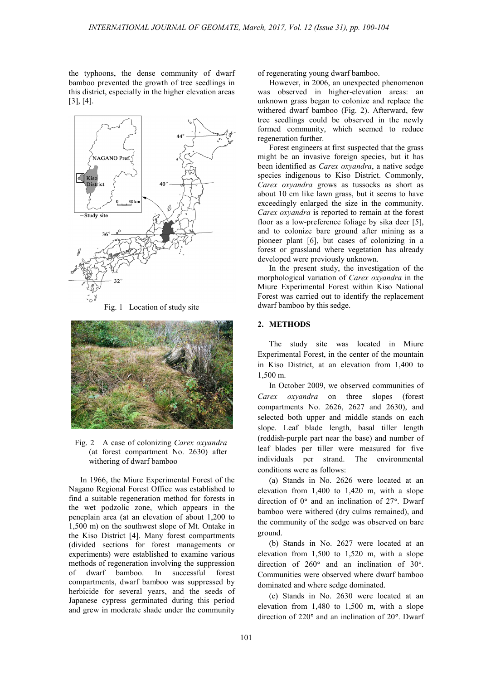the typhoons, the dense community of dwarf bamboo prevented the growth of tree seedlings in this district, especially in the higher elevation areas [3], [4].







Fig. 2 A case of colonizing *Carex oxyandra* (at forest compartment No. 2630) after withering of dwarf bamboo

In 1966, the Miure Experimental Forest of the Nagano Regional Forest Office was established to find a suitable regeneration method for forests in the wet podzolic zone, which appears in the peneplain area (at an elevation of about 1,200 to 1,500 m) on the southwest slope of Mt. Ontake in the Kiso District [4]. Many forest compartments (divided sections for forest managements or experiments) were established to examine various methods of regeneration involving the suppression of dwarf bamboo. In successful forest compartments, dwarf bamboo was suppressed by herbicide for several years, and the seeds of Japanese cypress germinated during this period and grew in moderate shade under the community

of regenerating young dwarf bamboo.

However, in 2006, an unexpected phenomenon was observed in higher-elevation areas: an unknown grass began to colonize and replace the withered dwarf bamboo (Fig. 2). Afterward, few tree seedlings could be observed in the newly formed community, which seemed to reduce regeneration further.

Forest engineers at first suspected that the grass might be an invasive foreign species, but it has been identified as *Carex oxyandra*, a native sedge species indigenous to Kiso District. Commonly, *Carex oxyandra* grows as tussocks as short as about 10 cm like lawn grass, but it seems to have exceedingly enlarged the size in the community. *Carex oxyandra* is reported to remain at the forest floor as a low-preference foliage by sika deer [5], and to colonize bare ground after mining as a pioneer plant [6], but cases of colonizing in a forest or grassland where vegetation has already developed were previously unknown.

In the present study, the investigation of the morphological variation of *Carex oxyandra* in the Miure Experimental Forest within Kiso National Forest was carried out to identify the replacement dwarf bamboo by this sedge.

### **2. METHODS**

The study site was located in Miure Experimental Forest, in the center of the mountain in Kiso District, at an elevation from 1,400 to 1,500 m.

In October 2009, we observed communities of *Carex oxyandra* on three slopes (forest compartments No. 2626, 2627 and 2630), and selected both upper and middle stands on each slope. Leaf blade length, basal tiller length (reddish-purple part near the base) and number of leaf blades per tiller were measured for five individuals per strand. The environmental conditions were as follows:

(a) Stands in No. 2626 were located at an elevation from 1,400 to 1,420 m, with a slope direction of  $0^{\circ}$  and an inclination of  $27^{\circ}$ . Dwarf bamboo were withered (dry culms remained), and the community of the sedge was observed on bare ground.

(b) Stands in No. 2627 were located at an elevation from 1,500 to 1,520 m, with a slope direction of  $260^\circ$  and an inclination of  $30^\circ$ . Communities were observed where dwarf bamboo dominated and where sedge dominated.

(c) Stands in No. 2630 were located at an elevation from 1,480 to 1,500 m, with a slope direction of  $220^\circ$  and an inclination of  $20^\circ$ . Dwarf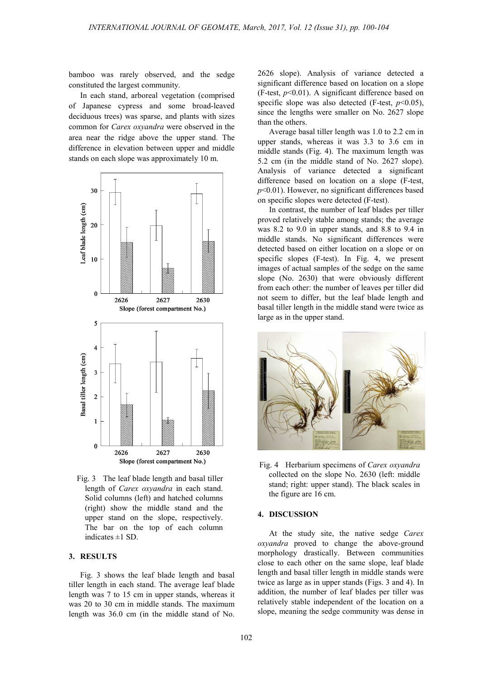bamboo was rarely observed, and the sedge constituted the largest community.

In each stand, arboreal vegetation (comprised of Japanese cypress and some broad-leaved deciduous trees) was sparse, and plants with sizes common for *Carex oxyandra* were observed in the area near the ridge above the upper stand. The difference in elevation between upper and middle stands on each slope was approximately 10 m.



Fig. 3 The leaf blade length and basal tiller length of *Carex oxyandra* in each stand. Solid columns (left) and hatched columns (right) show the middle stand and the upper stand on the slope, respectively. The bar on the top of each column indicates  $\pm 1$  SD.

#### **3. RESULTS**

Fig. 3 shows the leaf blade length and basal tiller length in each stand. The average leaf blade length was 7 to 15 cm in upper stands, whereas it was 20 to 30 cm in middle stands. The maximum length was 36.0 cm (in the middle stand of No. 2626 slope). Analysis of variance detected a significant difference based on location on a slope (F-test,  $p<0.01$ ). A significant difference based on specific slope was also detected (F-test,  $p<0.05$ ), since the lengths were smaller on No. 2627 slope than the others.

Average basal tiller length was 1.0 to 2.2 cm in upper stands, whereas it was 3.3 to 3.6 cm in middle stands (Fig. 4). The maximum length was 5.2 cm (in the middle stand of No. 2627 slope). Analysis of variance detected a significant difference based on location on a slope (F-test, *p*<0.01). However, no significant differences based on specific slopes were detected (F-test).

In contrast, the number of leaf blades per tiller proved relatively stable among stands; the average was 8.2 to 9.0 in upper stands, and 8.8 to 9.4 in middle stands. No significant differences were detected based on either location on a slope or on specific slopes (F-test). In Fig. 4, we present images of actual samples of the sedge on the same slope (No. 2630) that were obviously different from each other: the number of leaves per tiller did not seem to differ, but the leaf blade length and basal tiller length in the middle stand were twice as large as in the upper stand.



Fig. 4 Herbarium specimens of *Carex oxyandra* collected on the slope No. 2630 (left: middle stand; right: upper stand). The black scales in the figure are 16 cm.

#### **4. DISCUSSION**

At the study site, the native sedge *Carex oxyandra* proved to change the above-ground morphology drastically. Between communities close to each other on the same slope, leaf blade length and basal tiller length in middle stands were twice as large as in upper stands (Figs. 3 and 4). In addition, the number of leaf blades per tiller was relatively stable independent of the location on a slope, meaning the sedge community was dense in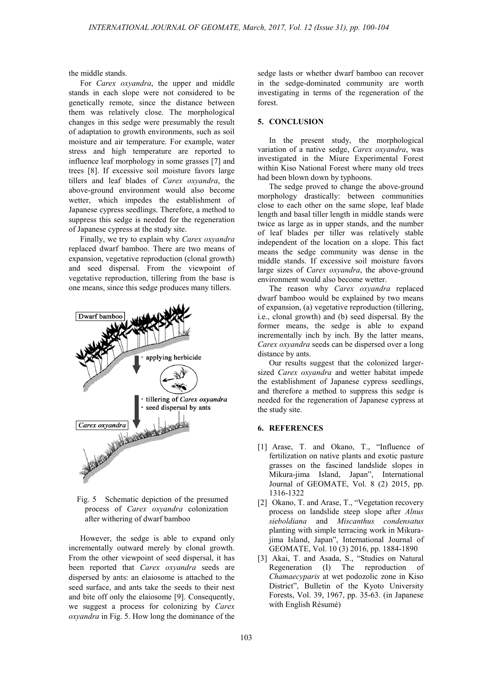the middle stands.

For *Carex oxyandra*, the upper and middle stands in each slope were not considered to be genetically remote, since the distance between them was relatively close. The morphological changes in this sedge were presumably the result of adaptation to growth environments, such as soil moisture and air temperature. For example, water stress and high temperature are reported to influence leaf morphology in some grasses [7] and trees [8]. If excessive soil moisture favors large tillers and leaf blades of *Carex oxyandra*, the above-ground environment would also become wetter, which impedes the establishment of Japanese cypress seedlings. Therefore, a method to suppress this sedge is needed for the regeneration of Japanese cypress at the study site.

Finally, we try to explain why *Carex oxyandra* replaced dwarf bamboo. There are two means of expansion, vegetative reproduction (clonal growth) and seed dispersal. From the viewpoint of vegetative reproduction, tillering from the base is one means, since this sedge produces many tillers.



Fig. 5 Schematic depiction of the presumed process of *Carex oxyandra* colonization after withering of dwarf bamboo

However, the sedge is able to expand only incrementally outward merely by clonal growth. From the other viewpoint of seed dispersal, it has been reported that *Carex oxyandra* seeds are dispersed by ants: an elaiosome is attached to the seed surface, and ants take the seeds to their nest and bite off only the elaiosome [9]. Consequently, we suggest a process for colonizing by *Carex oxyandra* in Fig. 5. How long the dominance of the

sedge lasts or whether dwarf bamboo can recover in the sedge-dominated community are worth investigating in terms of the regeneration of the forest.

### **5. CONCLUSION**

In the present study, the morphological variation of a native sedge, *Carex oxyandra*, was investigated in the Miure Experimental Forest within Kiso National Forest where many old trees had been blown down by typhoons.

The sedge proved to change the above-ground morphology drastically: between communities close to each other on the same slope, leaf blade length and basal tiller length in middle stands were twice as large as in upper stands, and the number of leaf blades per tiller was relatively stable independent of the location on a slope. This fact means the sedge community was dense in the middle stands. If excessive soil moisture favors large sizes of *Carex oxyandra*, the above-ground environment would also become wetter.

The reason why *Carex oxyandra* replaced dwarf bamboo would be explained by two means of expansion, (a) vegetative reproduction (tillering, i.e., clonal growth) and (b) seed dispersal. By the former means, the sedge is able to expand incrementally inch by inch. By the latter means, *Carex oxyandra* seeds can be dispersed over a long distance by ants.

Our results suggest that the colonized largersized *Carex oxyandra* and wetter habitat impede the establishment of Japanese cypress seedlings, and therefore a method to suppress this sedge is needed for the regeneration of Japanese cypress at the study site.

# **6. REFERENCES**

- [1] Arase, T. and Okano, T., "Influence of fertilization on native plants and exotic pasture grasses on the fascined landslide slopes in Mikura-jima Island, Japan", International Journal of GEOMATE, Vol. 8 (2) 2015, pp. 1316-1322
- [2] Okano, T. and Arase, T., "Vegetation recovery process on landslide steep slope after *Alnus sieboldiana* and *Miscanthus condensatus* planting with simple terracing work in Mikurajima Island, Japan", International Journal of GEOMATE, Vol. 10 (3) 2016, pp. 1884-1890
- [3] Akai, T. and Asada, S., "Studies on Natural Regeneration (I) The reproduction of *Chamaecyparis* at wet podozolic zone in Kiso District", Bulletin of the Kyoto University Forests, Vol. 39, 1967, pp. 35-63. (in Japanese with English Résumé)